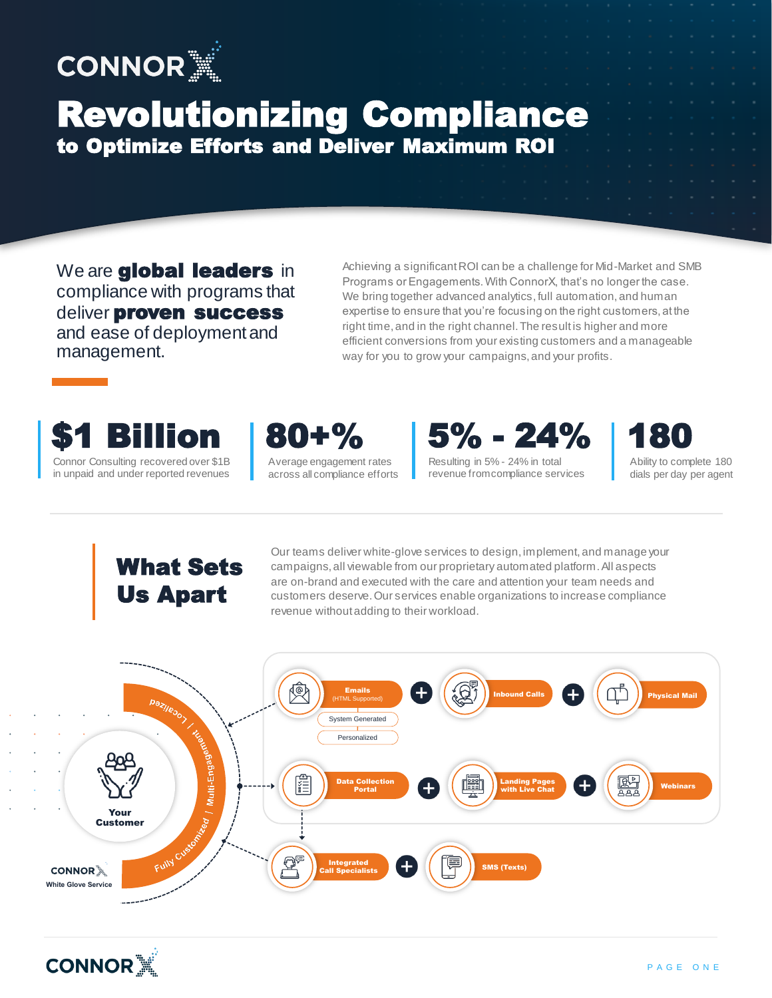

## Revolutionizing Compliance to Optimize Efforts and Deliver Maximum ROI

We are **global leaders** in compliance with programs that deliver proven success and ease of deployment and management.

Achieving a significant ROI can be a challenge for Mid-Market and SMB Programs or Engagements. With ConnorX, that's no longer the case. We bring together advanced analytics, full automation, and human expertise to ensure that you're focusing on the right customers, at the right time, and in the right channel. The result is higher and more efficient conversions from your existing customers and a manageable way for you to grow your campaigns, and your profits.







Resulting in 5% - 24% in total revenue from compliance services



Ability to complete 180 dials per day per agent

## What Sets Us Apart

Our teams deliver white-glove services to design, implement, and manage your campaigns, all viewable from our proprietary automated platform. All aspects are on-brand and executed with the care and attention your team needs and customers deserve. Our services enable organizations to increase compliance revenue without adding to their workload.



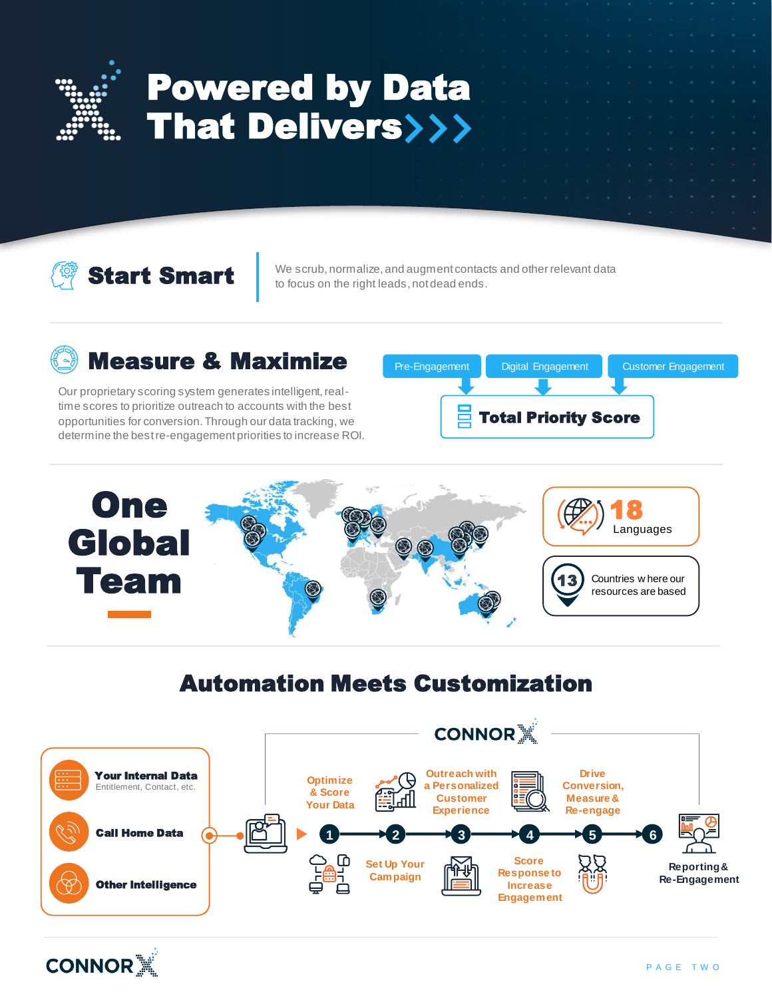

# Powered by Data **That Delivers>>>**

Start Smart

We scrub, normalize, and augment contacts and other relevant data to focus on the right leads, not dead ends.

### Measure & Maximize

Our proprietary scoring system generates intelligent, realtime scores to prioritize outreach to accounts with the best opportunities for conversion. Through our data tracking, we determine the best re-engagement priorities to increase ROI.

Total Priority Score Pre-Engagement Digital Engagement Customer Engagement



#### Automation Meets Customization